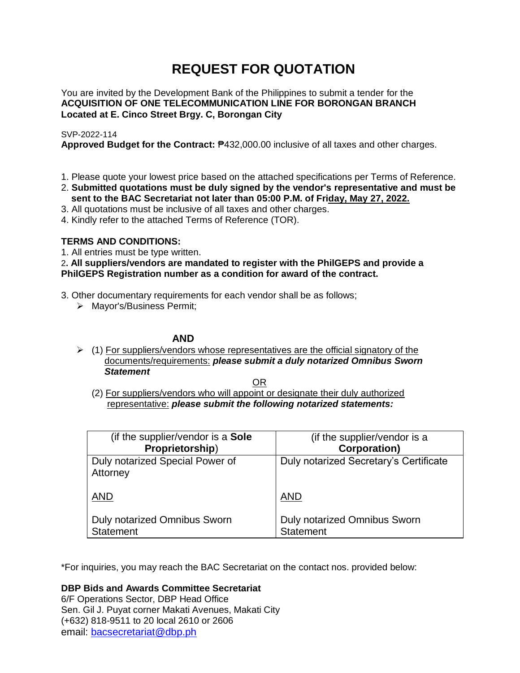# **REQUEST FOR QUOTATION**

You are invited by the Development Bank of the Philippines to submit a tender for the **ACQUISITION OF ONE TELECOMMUNICATION LINE FOR BORONGAN BRANCH Located at E. Cinco Street Brgy. C, Borongan City**

## SVP-2022-114

**Approved Budget for the Contract:** ₱432,000.00 inclusive of all taxes and other charges.

- 1. Please quote your lowest price based on the attached specifications per Terms of Reference.
- 2. **Submitted quotations must be duly signed by the vendor's representative and must be sent to the BAC Secretariat not later than 05:00 P.M. of Friday, May 27, 2022.**
- 3. All quotations must be inclusive of all taxes and other charges.
- 4. Kindly refer to the attached Terms of Reference (TOR).

# **TERMS AND CONDITIONS:**

1. All entries must be type written.

2**. All suppliers/vendors are mandated to register with the PhilGEPS and provide a PhilGEPS Registration number as a condition for award of the contract.**

- 3. Other documentary requirements for each vendor shall be as follows;
	- > Mayor's/Business Permit;

# **AND**

 $\geq$  (1) For suppliers/vendors whose representatives are the official signatory of the documents/requirements: *please submit a duly notarized Omnibus Sworn Statement*

<u>OR Starting and the Starting OR Starting</u>

(2) For suppliers/vendors who will appoint or designate their duly authorized representative: *please submit the following notarized statements:*

| (if the supplier/vendor is a Sole                | (if the supplier/vendor is a                     |
|--------------------------------------------------|--------------------------------------------------|
| Proprietorship)                                  | <b>Corporation)</b>                              |
| Duly notarized Special Power of<br>Attorney      | Duly notarized Secretary's Certificate           |
| <b>AND</b>                                       | <b>AND</b>                                       |
| Duly notarized Omnibus Sworn<br><b>Statement</b> | Duly notarized Omnibus Sworn<br><b>Statement</b> |

\*For inquiries, you may reach the BAC Secretariat on the contact nos. provided below:

**DBP Bids and Awards Committee Secretariat** 

6/F Operations Sector, DBP Head Office Sen. Gil J. Puyat corner Makati Avenues, Makati City (+632) 818-9511 to 20 local 2610 or 2606 email: [bacsecretariat@dbp.ph](mailto:bacsecretariat@dbp.ph)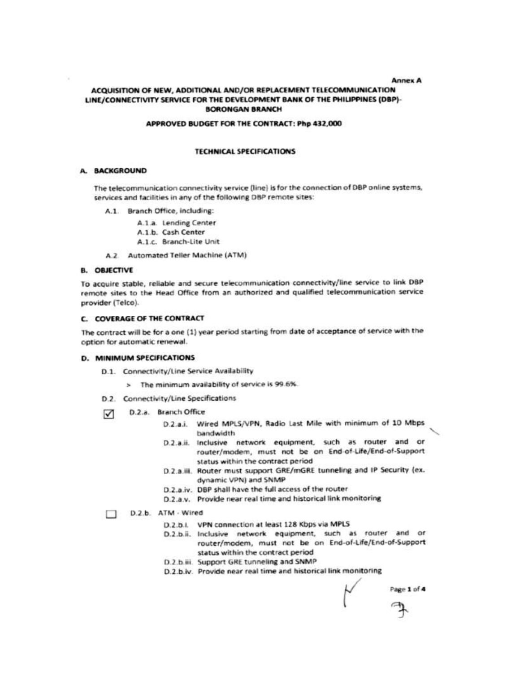#### **Annex A**

## ACQUISITION OF NEW, ADDITIONAL AND/OR REPLACEMENT TELECOMMUNICATION LINE/CONNECTIVITY SERVICE FOR THE DEVELOPMENT BANK OF THE PHILIPPINES (DBP)-**BORONGAN BRANCH**

#### APPROVED BUDGET FOR THE CONTRACT: Php 432,000

#### **TECHNICAL SPECIFICATIONS**

#### A. BACKGROUND

The telecommunication connectivity service (line) is for the connection of DBP online systems, services and facilities in any of the following DBP remote sites:

A.1. Branch Office, including:

A.1.a. Lending Center

A.1.b. Cash Center

A.1.c. Branch-Lite Unit

A.2 Automated Teller Machine (ATM)

## **B. OBJECTIVE**

To acquire stable, reliable and secure telecommunication connectivity/line service to link DBP remote sites to the Head Office from an authorized and qualified telecommunication service provider (Telco).

#### C. COVERAGE OF THE CONTRACT

The contract will be for a one (1) year period starting from date of acceptance of service with the option for automatic renewal.

#### **D. MINIMUM SPECIFICATIONS**

- D.1. Connectivity/Line Service Availability
	- > The minimum availability of service is 99.6%.
- D.2. Connectivity/Line Specifications
- D.2.a. Branch Office ☑
	- D.2.a.i. Wired MPLS/VPN, Radio Last Mile with minimum of 10 Mbps bandwidth
	- D.2.a.ii. Inclusive network equipment, such as router and or router/modem, must not be on End-of-Life/End-of-Support status within the contract period
	- D.2.a.iii. Router must support GRE/mGRE tunneling and IP Security (ex. dynamic VPN) and SNMP
	- D.2.a.iv. DBP shall have the full access of the router
	- D.2.a.v. Provide near real time and historical link monitoring

#### D.2.b. ATM · Wired

- D.2.b.I. VPN connection at least 128 Kbps via MPLS
- D.2.b.ii. Inclusive network equipment, such as router and or router/modem, must not be on End-of-Life/End-of-Support status within the contract period
- D.2.b.iii. Support GRE tunneling and SNMP
- D.2.b.iv. Provide near real time and historical link monitoring

Page 1 of 4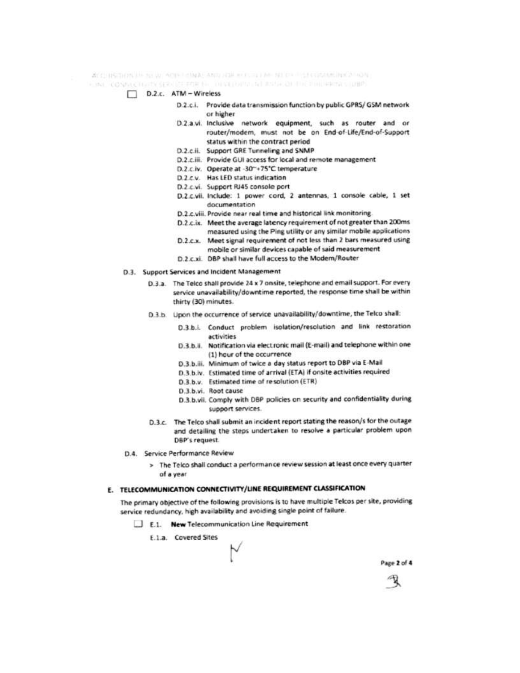ACCURRING IN AUTO ACTED AND THE REPORT OF MEDIA PERMISSION ROOM.

- ONE CONNECTIVITY SERVICE FOR NE DEVELOPMENT IN INSTALLED THE PRIMARY LIMITS
	- D.2.c. ATM Wireless
		- D.2.c.i. Provide data transmission function by public GPRS/ GSM network or higher
		- D.2.a.vi. Inclusive network equipment, such as router and or router/modem, must not be on End-of-Life/End-of-Support status within the contract period
		- D.2.c.ii. Support GRE Tunneling and SNMP
		- D.2.c.iii. Provide GUI access for local and remote management
		- D.2.c.lv. Operate at -30"+75"C temperature
		- D.2.c.v. Has LED status indication
		- D.2.c.vi. Support RJ45 console port
		- D.2.c.vii. Include: 1 power cord, 2 antennas, 1 console cable, 1 set documentation
		- D.2.c.viii. Provide near real time and historical link monitoring.
		- D.2.c.ix. Meet the average latency requirement of not greater than 200ms measured using the Ping utility or any similar mobile applications
		- D.2.c.x. Meet signal requirement of not less than 2 bars measured using mobile or similar devices capable of said measurement
		- D.2.c.xi. DBP shall have full access to the Modem/Router
	- D.3. Support Services and Incident Management
		- D.3.a. The Telco shall provide 24 x 7 onsite, telephone and email support. For every service unavailability/downtime reported, the response time shall be within thirty (30) minutes.
		- D.3.b. Upon the occurrence of service unavailability/downtime, the Telco shall:
			- D.3.b.i. Conduct problem isolation/resolution and link restoration activities
			- D.3.b.ii. Notification via electronic mail (E-mail) and telephone within one (1) hour of the occurrence
			- D.3.b.iii. Minimum of twice a day status report to DBP via E-Mail
			- D.3.b.iv. Estimated time of arrival (ETA) if onsite activities required
			- D.3.b.v. Estimated time of resolution (ETR)
			- D.3.b.vi. Root cause
			- D.3 b.vii. Comply with DBP policies on security and confidentiality during support services.
		- D.3.c. The Telco shall submit an incident report stating the reason/s for the outage and detailing the steps undertaken to resolve a particular problem upon DBP's request.
	- D.4. Service Performance Review
		- > The Telco shall conduct a performance review session at least once every quarter of a year.

## E. TELECOMMUNICATION CONNECTIVITY/LINE REQUIREMENT CLASSIFICATION

The primary objective of the following provisions is to have multiple Telcos per site, providing service redundancy, high availability and avoiding single point of failure.

- E.1. New Telecommunication Line Requirement
	- E.1.a. Covered Sites

Page 2 of 4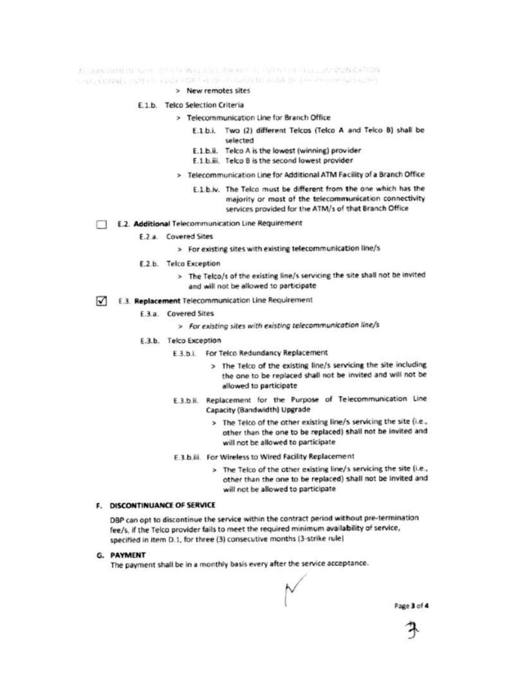KELLON THEN THE GENE ARE RELEASED AND RELEASED FOR THE LOCAL DISCATION. LINE COMMITTEEL RACE CORTAL DISTINGUISHED THE CHILDREN LINE

> New remotes sites

#### E.1.b. Telco Selection Criteria

- > Telecommunication Line for Branch Office
	- E.1.b.i. Two (2) different Telcos (Telco A and Telco B) shall be selected
	- E.1.b.ii. Telco A is the lowest (winning) provider
	- E.1.b.iii. Telco B is the second lowest provider
	- > Telecommunication Line for Additional ATM Facility of a Branch Office
		- E.1.b.iv. The Telco must be different from the one which has the majority or most of the telecommunication connectivity services provided for the ATM/s of that Branch Office
- E.2. Additional Telecommunication Line Requirement
	- F.2 a. Covered Sites
		- > For existing sites with existing telecommunication line/s
		- E.2.b. Telco Exception
			- > The Telco/s of the existing line/s servicing the site shall not be invited and will not be allowed to participate
- E.3. Replacement Telecommunication Line Requirement ⊓
	- E.3.a. Covered Sites
		- > For existing sites with existing telecommunication line/s
	- E.3.b. Telco Exception
		- E.3.b.i. For Telco Redundancy Replacement
			- > The Telco of the existing line/s servicing the site including the one to be replaced shall not be invited and will not be allowed to participate
		- E.3.b.ii. Replacement for the Purpose of Telecommunication Line Capacity (Bandwidth) Upgrade
			- > The Telco of the other existing line/s servicing the site (i.e., other than the one to be replaced) shall not be invited and will not be allowed to participate
		- E.3.b.iii. For Wireless to Wired Facility Replacement
			- > The Telco of the other existing line/s servicing the site (i.e., other than the one to be replaced) shall not be invited and will not be allowed to participate

## **F. DISCONTINUANCE OF SERVICE**

DBP can opt to discontinue the service within the contract period without pre-termination fee/s, if the Telco provider fails to meet the required minimum availability of service, specified in item D.1, for three (3) consecutive months (3-strike rule)

G. PAYMENT

The payment shall be in a monthly basis every after the service acceptance.

Page 3 of 4